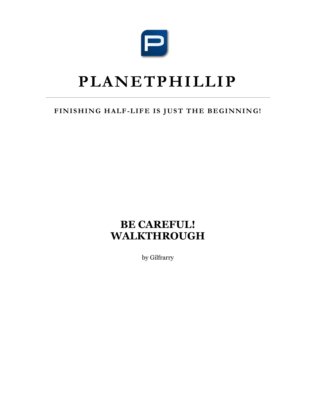

# **PLANETPHILLIP**

### FINISHING HALF-LIFE IS JUST THE BEGINNING!

### **BE CAREFUL! WALKTHROUGH**

by Gilfrarry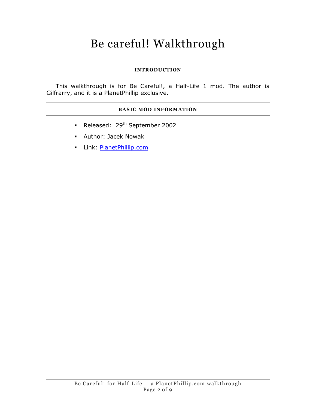## Be careful! Walkthrough

### **INTRODUCTION**

This walkthrough is for Be Careful!, a Half-Life 1 mod. The author is Gilfrarry, and it is a PlanetPhillip exclusive.

#### **BASIC MOD INFORMATION**

- Released: 29<sup>th</sup> September 2002
- Author: Jacek Nowak
- Link: [PlanetPhillip.com](http://www.planetphillip.com/posts/be-careful-half-life/)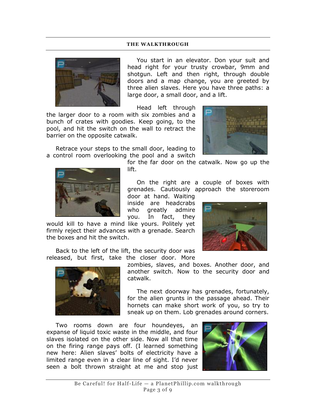#### **THE WALKTHROUGH**



You start in an elevator. Don your suit and head right for your trusty crowbar, 9mm and shotgun. Left and then right, through double doors and a map change, you are greeted by three alien slaves. Here you have three paths: a large door, a small door, and a lift.

Head left through

the larger door to a room with six zombies and a bunch of crates with goodies. Keep going, to the pool, and hit the switch on the wall to retract the barrier on the opposite catwalk.

Retrace your steps to the small door, leading to a control room overlooking the pool and a switch



for the far door on the catwalk. Now go up the lift.

On the right are a couple of boxes with grenades. Cautiously approach the storeroom

door at hand. Waiting inside are headcrabs who greatly admire you. In fact, they

would kill to have a mind like yours. Politely yet firmly reject their advances with a grenade. Search the boxes and hit the switch.



Back to the left of the lift, the security door was released, but first, take the closer door. More



zombies, slaves, and boxes. Another door, and another switch. Now to the security door and catwalk.

The next doorway has grenades, fortunately, for the alien grunts in the passage ahead. Their hornets can make short work of you, so try to sneak up on them. Lob grenades around corners.

Two rooms down are four houndeyes, an expanse of liquid toxic waste in the middle, and four slaves isolated on the other side. Now all that time on the firing range pays off. (I learned something new here: Alien slaves' bolts of electricity have a limited range even in a clear line of sight. I'd never seen a bolt thrown straight at me and stop just

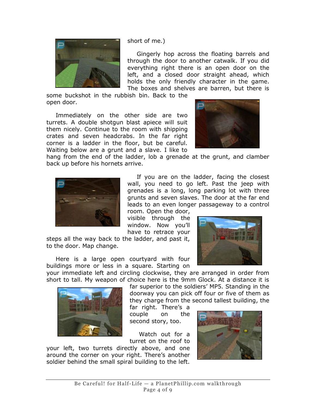

short of me.)

Gingerly hop across the floating barrels and through the door to another catwalk. If you did everything right there is an open door on the left, and a closed door straight ahead, which holds the only friendly character in the game. The boxes and shelves are barren, but there is

some buckshot in the rubbish bin. Back to the open door.

Immediately on the other side are two turrets. A double shotgun blast apiece will suit them nicely. Continue to the room with shipping crates and seven headcrabs. In the far right corner is a ladder in the floor, but be careful. Waiting below are a grunt and a slave. I like to



hang from the end of the ladder, lob a grenade at the grunt, and clamber back up before his hornets arrive.



If you are on the ladder, facing the closest wall, you need to go left. Past the jeep with grenades is a long, long parking lot with three grunts and seven slaves. The door at the far end leads to an even longer passageway to a control

room. Open the door, visible through the window. Now you'll have to retrace your

steps all the way back to the ladder, and past it, to the door. Map change.

Here is a large open courtyard with four buildings more or less in a square. Starting on

your immediate left and circling clockwise, they are arranged in order from short to tall. My weapon of choice here is the 9mm Glock. At a distance it is



far superior to the soldiers' MP5. Standing in the doorway you can pick off four or five of them as they charge from the second tallest building, the

far right. There's a couple on the second story, too.

Watch out for a turret on the roof to

your left, two turrets directly above, and one around the corner on your right. There's another soldier behind the small spiral building to the left.

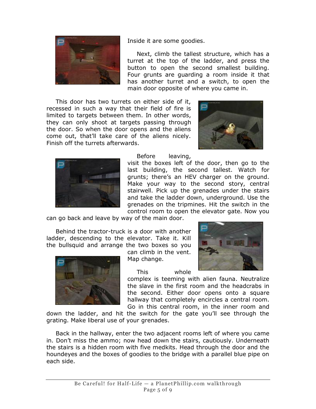

Inside it are some goodies.

Next, climb the tallest structure, which has a turret at the top of the ladder, and press the button to open the second smallest building. Four grunts are guarding a room inside it that has another turret and a switch, to open the main door opposite of where you came in.

This door has two turrets on either side of it, recessed in such a way that their field of fire is limited to targets between them. In other words, they can only shoot at targets passing through the door. So when the door opens and the aliens come out, that'll take care of the aliens nicely. Finish off the turrets afterwards.





Before leaving,

visit the boxes left of the door, then go to the last building, the second tallest. Watch for grunts; there's an HEV charger on the ground. Make your way to the second story, central stairwell. Pick up the grenades under the stairs and take the ladder down, underground. Use the grenades on the tripmines. Hit the switch in the control room to open the elevator gate. Now you

can go back and leave by way of the main door.

Behind the tractor-truck is a door with another ladder, descending to the elevator. Take it. Kill the bullsquid and arrange the two boxes so you



can climb in the vent. Map change.

This whole complex is teeming with alien fauna. Neutralize the slave in the first room and the headcrabs in the second. Either door opens onto a square hallway that completely encircles a central room. Go in this central room, in the inner room and

down the ladder, and hit the switch for the gate you'll see through the grating. Make liberal use of your grenades.

Back in the hallway, enter the two adjacent rooms left of where you came in. Don't miss the ammo; now head down the stairs, cautiously. Underneath the stairs is a hidden room with five medkits. Head through the door and the houndeyes and the boxes of goodies to the bridge with a parallel blue pipe on each side.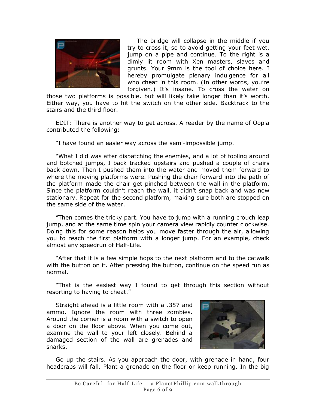

The bridge will collapse in the middle if you try to cross it, so to avoid getting your feet wet, jump on a pipe and continue. To the right is a dimly lit room with Xen masters, slaves and grunts. Your 9mm is the tool of choice here. I hereby promulgate plenary indulgence for all who cheat in this room. (In other words, you're forgiven.) It's insane. To cross the water on

those two platforms is possible, but will likely take longer than it's worth. Either way, you have to hit the switch on the other side. Backtrack to the stairs and the third floor.

EDIT: There is another way to get across. A reader by the name of Oopla contributed the following:

"I have found an easier way across the semi-impossible jump.

"What I did was after dispatching the enemies, and a lot of fooling around and botched jumps, I back tracked upstairs and pushed a couple of chairs back down. Then I pushed them into the water and moved them forward to where the moving platforms were. Pushing the chair forward into the path of the platform made the chair get pinched between the wall in the platform. Since the platform couldn't reach the wall, it didn't snap back and was now stationary. Repeat for the second platform, making sure both are stopped on the same side of the water.

"Then comes the tricky part. You have to jump with a running crouch leap jump, and at the same time spin your camera view rapidly counter clockwise. Doing this for some reason helps you move faster through the air, allowing you to reach the first platform with a longer jump. For an example, check almost any speedrun of Half-Life.

"After that it is a few simple hops to the next platform and to the catwalk with the button on it. After pressing the button, continue on the speed run as normal.

"That is the easiest way I found to get through this section without resorting to having to cheat."

Straight ahead is a little room with a .357 and ammo. Ignore the room with three zombies. Around the corner is a room with a switch to open a door on the floor above. When you come out, examine the wall to your left closely. Behind a damaged section of the wall are grenades and snarks.



Go up the stairs. As you approach the door, with grenade in hand, four headcrabs will fall. Plant a grenade on the floor or keep running. In the big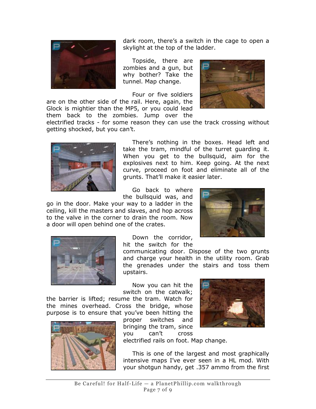

dark room, there's a switch in the cage to open a skylight at the top of the ladder.

Topside, there are zombies and a gun, but why bother? Take the tunnel. Map change.

Four or five soldiers

are on the other side of the rail. Here, again, the Glock is mightier than the MP5, or you could lead them back to the zombies. Jump over the



electrified tracks - for some reason they can use the track crossing without getting shocked, but you can't.



There's nothing in the boxes. Head left and take the tram, mindful of the turret guarding it. When you get to the bullsquid, aim for the explosives next to him. Keep going. At the next curve, proceed on foot and eliminate all of the grunts. That'll make it easier later.

Go back to where the bullsquid was, and

go in the door. Make your way to a ladder in the ceiling, kill the masters and slaves, and hop across to the valve in the corner to drain the room. Now a door will open behind one of the crates.





Down the corridor, hit the switch for the

communicating door. Dispose of the two grunts and charge your health in the utility room. Grab the grenades under the stairs and toss them upstairs.

Now you can hit the switch on the catwalk;

the barrier is lifted; resume the tram. Watch for the mines overhead. Cross the bridge, whose purpose is to ensure that you've been hitting the



proper switches and bringing the tram, since you can't cross electrified rails on foot. Map change.



This is one of the largest and most graphically intensive maps I've ever seen in a HL mod. With your shotgun handy, get .357 ammo from the first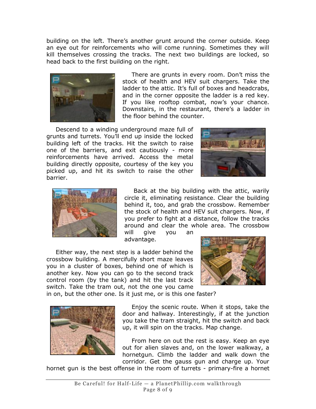building on the left. There's another grunt around the corner outside. Keep an eye out for reinforcements who will come running. Sometimes they will kill themselves crossing the tracks. The next two buildings are locked, so head back to the first building on the right.



There are grunts in every room. Don't miss the stock of health and HEV suit chargers. Take the ladder to the attic. It's full of boxes and headcrabs, and in the corner opposite the ladder is a red key. If you like rooftop combat, now's your chance. Downstairs, in the restaurant, there's a ladder in the floor behind the counter.

Descend to a winding underground maze full of grunts and turrets. You'll end up inside the locked building left of the tracks. Hit the switch to raise one of the barriers, and exit cautiously - more reinforcements have arrived. Access the metal building directly opposite, courtesy of the key you picked up, and hit its switch to raise the other barrier.





Back at the big building with the attic, warily circle it, eliminating resistance. Clear the building behind it, too, and grab the crossbow. Remember the stock of health and HEV suit chargers. Now, if you prefer to fight at a distance, follow the tracks around and clear the whole area. The crossbow

will give you an advantage.

Either way, the next step is a ladder behind the crossbow building. A mercifully short maze leaves you in a cluster of boxes, behind one of which is another key. Now you can go to the second track control room (by the tank) and hit the last track switch. Take the tram out, not the one you came



in on, but the other one. Is it just me, or is this one faster?



Enjoy the scenic route. When it stops, take the door and hallway. Interestingly, if at the junction you take the tram straight, hit the switch and back up, it will spin on the tracks. Map change.

From here on out the rest is easy. Keep an eye out for alien slaves and, on the lower walkway, a hornetgun. Climb the ladder and walk down the corridor. Get the gauss gun and charge up. Your

hornet gun is the best offense in the room of turrets - primary-fire a hornet